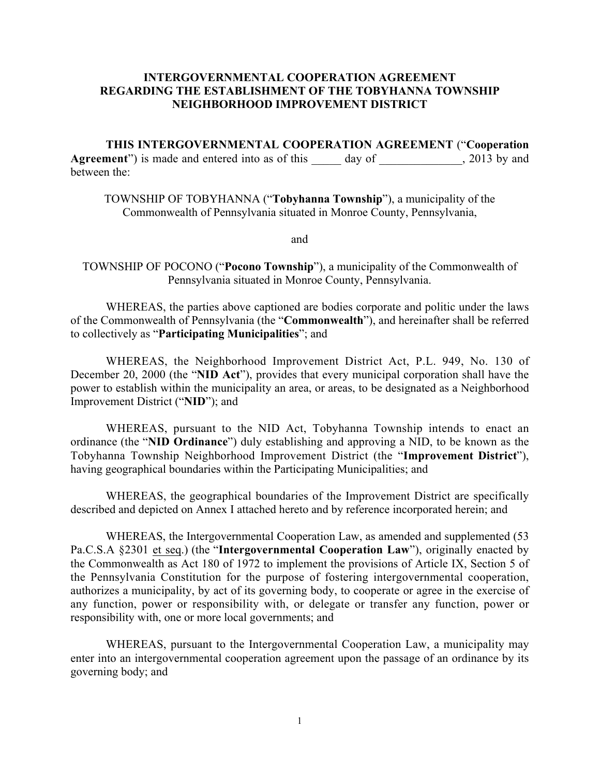## INTERGOVERNMENTAL COOPERATION AGREEMENT REGARDING THE ESTABLISHMENT OF THE TOBYHANNA TOWNSHIP NEIGHBORHOOD IMPROVEMENT DISTRICT

THIS INTERGOVERNMENTAL COOPERATION AGREEMENT ("Cooperation Agreement") is made and entered into as of this day of \_\_\_\_\_\_\_\_\_\_, 2013 by and between the:

TOWNSHIP OF TOBYHANNA ("Tobyhanna Township"), a municipality of the Commonwealth of Pennsylvania situated in Monroe County, Pennsylvania,

and

TOWNSHIP OF POCONO ("Pocono Township"), a municipality of the Commonwealth of Pennsylvania situated in Monroe County, Pennsylvania.

WHEREAS, the parties above captioned are bodies corporate and politic under the laws of the Commonwealth of Pennsylvania (the "Commonwealth"), and hereinafter shall be referred to collectively as "Participating Municipalities"; and

WHEREAS, the Neighborhood Improvement District Act, P.L. 949, No. 130 of December 20, 2000 (the "NID Act"), provides that every municipal corporation shall have the power to establish within the municipality an area, or areas, to be designated as a Neighborhood Improvement District ("NID"); and

WHEREAS, pursuant to the NID Act, Tobyhanna Township intends to enact an ordinance (the "NID Ordinance") duly establishing and approving a NID, to be known as the Tobyhanna Township Neighborhood Improvement District (the "Improvement District"), having geographical boundaries within the Participating Municipalities; and

WHEREAS, the geographical boundaries of the Improvement District are specifically described and depicted on Annex I attached hereto and by reference incorporated herein; and

WHEREAS, the Intergovernmental Cooperation Law, as amended and supplemented (53 Pa.C.S.A §2301 et seq.) (the "Intergovernmental Cooperation Law"), originally enacted by the Commonwealth as Act 180 of 1972 to implement the provisions of Article IX, Section 5 of the Pennsylvania Constitution for the purpose of fostering intergovernmental cooperation, authorizes a municipality, by act of its governing body, to cooperate or agree in the exercise of any function, power or responsibility with, or delegate or transfer any function, power or responsibility with, one or more local governments; and

WHEREAS, pursuant to the Intergovernmental Cooperation Law, a municipality may enter into an intergovernmental cooperation agreement upon the passage of an ordinance by its governing body; and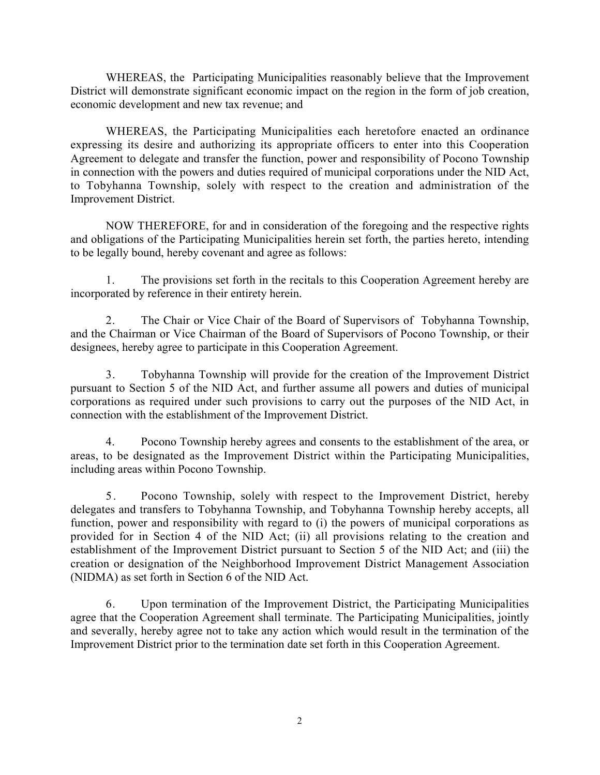WHEREAS, the Participating Municipalities reasonably believe that the Improvement District will demonstrate significant economic impact on the region in the form of job creation, economic development and new tax revenue; and

WHEREAS, the Participating Municipalities each heretofore enacted an ordinance expressing its desire and authorizing its appropriate officers to enter into this Cooperation Agreement to delegate and transfer the function, power and responsibility of Pocono Township in connection with the powers and duties required of municipal corporations under the NID Act, to Tobyhanna Township, solely with respect to the creation and administration of the Improvement District.

NOW THEREFORE, for and in consideration of the foregoing and the respective rights and obligations of the Participating Municipalities herein set forth, the parties hereto, intending to be legally bound, hereby covenant and agree as follows:

1. The provisions set forth in the recitals to this Cooperation Agreement hereby are incorporated by reference in their entirety herein.

2. The Chair or Vice Chair of the Board of Supervisors of Tobyhanna Township, and the Chairman or Vice Chairman of the Board of Supervisors of Pocono Township, or their designees, hereby agree to participate in this Cooperation Agreement.

3. Tobyhanna Township will provide for the creation of the Improvement District pursuant to Section 5 of the NID Act, and further assume all powers and duties of municipal corporations as required under such provisions to carry out the purposes of the NID Act, in connection with the establishment of the Improvement District.

4. Pocono Township hereby agrees and consents to the establishment of the area, or areas, to be designated as the Improvement District within the Participating Municipalities, including areas within Pocono Township.

5 . Pocono Township, solely with respect to the Improvement District, hereby delegates and transfers to Tobyhanna Township, and Tobyhanna Township hereby accepts, all function, power and responsibility with regard to (i) the powers of municipal corporations as provided for in Section 4 of the NID Act; (ii) all provisions relating to the creation and establishment of the Improvement District pursuant to Section 5 of the NID Act; and (iii) the creation or designation of the Neighborhood Improvement District Management Association (NIDMA) as set forth in Section 6 of the NID Act.

6. Upon termination of the Improvement District, the Participating Municipalities agree that the Cooperation Agreement shall terminate. The Participating Municipalities, jointly and severally, hereby agree not to take any action which would result in the termination of the Improvement District prior to the termination date set forth in this Cooperation Agreement.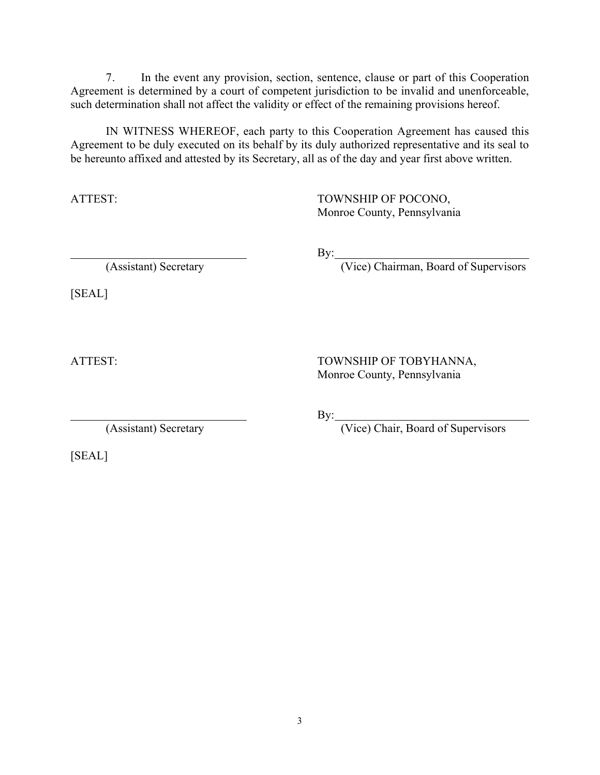7. In the event any provision, section, sentence, clause or part of this Cooperation Agreement is determined by a court of competent jurisdiction to be invalid and unenforceable, such determination shall not affect the validity or effect of the remaining provisions hereof.

IN WITNESS WHEREOF, each party to this Cooperation Agreement has caused this Agreement to be duly executed on its behalf by its duly authorized representative and its seal to be hereunto affixed and attested by its Secretary, all as of the day and year first above written.

ATTEST: TOWNSHIP OF POCONO, Monroe County, Pennsylvania

(Assistant) Secretary (Vice) Chairman, Board of Supervisors

[SEAL]

ATTEST: TOWNSHIP OF TOBYHANNA, Monroe County, Pennsylvania

[SEAL]

By:

By:

(Assistant) Secretary (Vice) Chair, Board of Supervisors